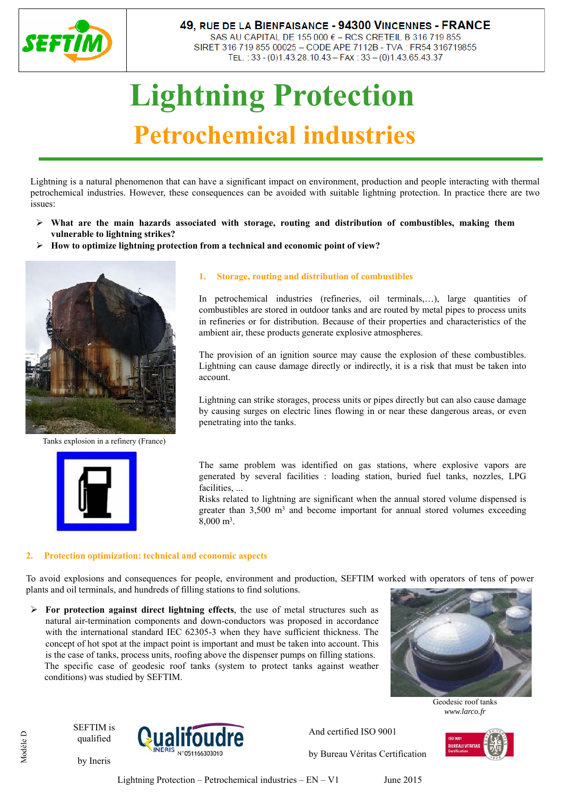

## 49, RUE DE LA BIENFAISANCE - 94300 VINCENNES - FRANCE

SAS AU CAPITAL DE 155 000 € - RCS CRETEIL B 316 719 855 SIRET 316 719 855 00025 - CODE APE 7112B - TVA : FR54 316719855 TEL.: 33 - (0)1.43.28.10.43 - FAX: 33 - (0)1.43.65.43.37

# **Lightning Protection Petrochemical industries**

Lightning is a natural phenomenon that can have a significant impact on environment, production and people interacting with thermal petrochemical industries. However, these consequences can be avoided with suitable lightning protection. In practice there are two issues:

- **What are the main hazards associated with storage, routing and distribution of combustibles, making them vulnerable to lightning strikes?**
- **How to optimize lightning protection from a technical and economic point of view?**



Tanks explosion in a refinery (France)



### **1. Storage, routing and distribution of combustibles**

In petrochemical industries (refineries, oil terminals,…), large quantities of combustibles are stored in outdoor tanks and are routed by metal pipes to process units in refineries or for distribution. Because of their properties and characteristics of the ambient air, these products generate explosive atmospheres.

The provision of an ignition source may cause the explosion of these combustibles. Lightning can cause damage directly or indirectly, it is a risk that must be taken into account.

Lightning can strike storages, process units or pipes directly but can also cause damage by causing surges on electric lines flowing in or near these dangerous areas, or even penetrating into the tanks.

The same problem was identified on gas stations, where explosive vapors are generated by several facilities : loading station, buried fuel tanks, nozzles, LPG facilities, ...

Risks related to lightning are significant when the annual stored volume dispensed is greater than  $3,500 \text{ m}^3$  and become important for annual stored volumes exceeding 8,000 m3.

#### **2. Protection optimization: technical and economic aspects**

To avoid explosions and consequences for people, environment and production, SEFTIM worked with operators of tens of power plants and oil terminals, and hundreds of filling stations to find solutions.

 $\triangleright$  For protection against direct lightning effects, the use of metal structures such as natural air-termination components and down-conductors was proposed in accordance with the international standard IEC 62305-3 when they have sufficient thickness. The concept of hot spot at the impact point is important and must be taken into account. This is the case of tanks, process units, roofing above the dispenser pumps on filling stations. The specific case of geodesic roof tanks (system to protect tanks against weather conditions) was studied by SEFTIM.



Geodesic roof tanks *www.larco.fr*

SEFTIM is qualified

by Ineris



by Bureau Véritas Certification

And certified ISO 9001



Modèle D Modèle D